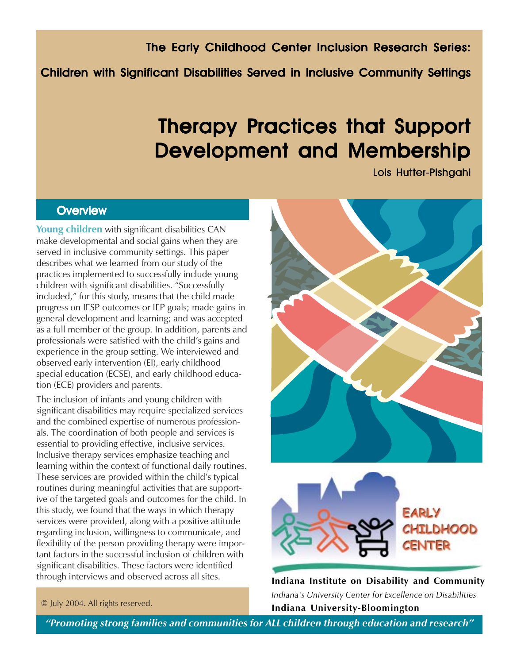The Early Childhood Center Inclusion Research Series:

Children with Significant Disabilities Served in Inclusive Community Settings

# Therapy Practices that Support Development and Membership

Lois Hutter-Pishgahi

# **Overview**

**Young children** with significant disabilities CAN make developmental and social gains when they are served in inclusive community settings. This paper describes what we learned from our study of the practices implemented to successfully include young children with significant disabilities. "Successfully included," for this study, means that the child made progress on IFSP outcomes or IEP goals; made gains in general development and learning; and was accepted as a full member of the group. In addition, parents and professionals were satisfied with the child's gains and experience in the group setting. We interviewed and observed early intervention (EI), early childhood special education (ECSE), and early childhood education (ECE) providers and parents.

The inclusion of infants and young children with significant disabilities may require specialized services and the combined expertise of numerous professionals. The coordination of both people and services is essential to providing effective, inclusive services. Inclusive therapy services emphasize teaching and learning within the context of functional daily routines. These services are provided within the child's typical routines during meaningful activities that are supportive of the targeted goals and outcomes for the child. In this study, we found that the ways in which therapy services were provided, along with a positive attitude regarding inclusion, willingness to communicate, and flexibility of the person providing therapy were important factors in the successful inclusion of children with significant disabilities. These factors were identified through interviews and observed across all sites.





**Indiana Institute on Disability and Community** *Indiana's University Center for Excellence on Disabilities* **Indiana University-Bloomington**

#### © July 2004. All rights reserved.

*"Promoting strong families and communities for ALL children through education and research"*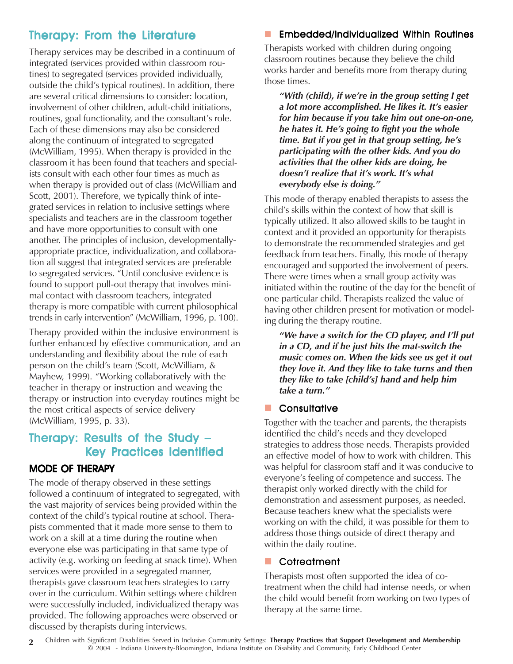# Therapy: From the Literature

Therapy services may be described in a continuum of integrated (services provided within classroom routines) to segregated (services provided individually, outside the child's typical routines). In addition, there are several critical dimensions to consider: location, involvement of other children, adult-child initiations, routines, goal functionality, and the consultant's role. Each of these dimensions may also be considered along the continuum of integrated to segregated (McWilliam, 1995). When therapy is provided in the classroom it has been found that teachers and specialists consult with each other four times as much as when therapy is provided out of class (McWilliam and Scott, 2001). Therefore, we typically think of integrated services in relation to inclusive settings where specialists and teachers are in the classroom together and have more opportunities to consult with one another. The principles of inclusion, developmentallyappropriate practice, individualization, and collaboration all suggest that integrated services are preferable to segregated services. "Until conclusive evidence is found to support pull-out therapy that involves minimal contact with classroom teachers, integrated therapy is more compatible with current philosophical trends in early intervention" (McWilliam, 1996, p. 100).

Therapy provided within the inclusive environment is further enhanced by effective communication, and an understanding and flexibility about the role of each person on the child's team (Scott, McWilliam, & Mayhew, 1999). "Working collaboratively with the teacher in therapy or instruction and weaving the therapy or instruction into everyday routines might be the most critical aspects of service delivery (McWilliam, 1995, p. 33).

# Therapy: Results of the Study – Key Practices Identified

## MODE OF THERAPY

The mode of therapy observed in these settings followed a continuum of integrated to segregated, with the vast majority of services being provided within the context of the child's typical routine at school. Therapists commented that it made more sense to them to work on a skill at a time during the routine when everyone else was participating in that same type of activity (e.g. working on feeding at snack time). When services were provided in a segregated manner, therapists gave classroom teachers strategies to carry over in the curriculum. Within settings where children were successfully included, individualized therapy was provided. The following approaches were observed or discussed by therapists during interviews.

### Embedded/Individualized Within Routines

Therapists worked with children during ongoing classroom routines because they believe the child works harder and benefits more from therapy during those times.

*"With (child), if we're in the group setting I get a lot more accomplished. He likes it. It's easier for him because if you take him out one-on-one, he hates it. He's going to fight you the whole time. But if you get in that group setting, he's participating with the other kids. And you do activities that the other kids are doing, he doesn't realize that it's work. It's what everybody else is doing."*

This mode of therapy enabled therapists to assess the child's skills within the context of how that skill is typically utilized. It also allowed skills to be taught in context and it provided an opportunity for therapists to demonstrate the recommended strategies and get feedback from teachers. Finally, this mode of therapy encouraged and supported the involvement of peers. There were times when a small group activity was initiated within the routine of the day for the benefit of one particular child. Therapists realized the value of having other children present for motivation or modeling during the therapy routine.

*"We have a switch for the CD player, and I'll put in a CD, and if he just hits the mat-switch the music comes on. When the kids see us get it out they love it. And they like to take turns and then they like to take [child's] hand and help him take a turn."*

#### **Consultative**

Together with the teacher and parents, the therapists identified the child's needs and they developed strategies to address those needs. Therapists provided an effective model of how to work with children. This was helpful for classroom staff and it was conducive to everyone's feeling of competence and success. The therapist only worked directly with the child for demonstration and assessment purposes, as needed. Because teachers knew what the specialists were working on with the child, it was possible for them to address those things outside of direct therapy and within the daily routine.

#### **Cotreatment**

Therapists most often supported the idea of cotreatment when the child had intense needs, or when the child would benefit from working on two types of therapy at the same time.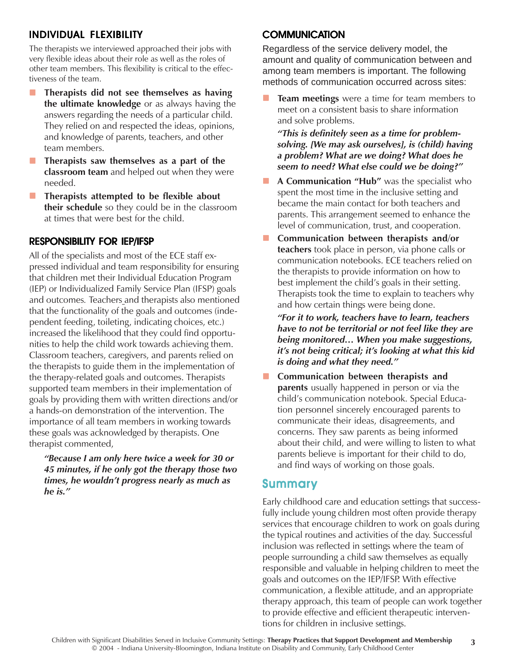## INDIVIDUAL FLEXIBILITY

The therapists we interviewed approached their jobs with very flexible ideas about their role as well as the roles of other team members. This flexibility is critical to the effectiveness of the team.

- **Therapists did not see themselves as having the ultimate knowledge** or as always having the answers regarding the needs of a particular child. They relied on and respected the ideas, opinions, and knowledge of parents, teachers, and other team members.
- **Therapists saw themselves as a part of the classroom team** and helped out when they were needed.
- **Therapists attempted to be flexible about their schedule** so they could be in the classroom at times that were best for the child.

#### RESPONSIBILITY FOR IEP/IFSP

All of the specialists and most of the ECE staff expressed individual and team responsibility for ensuring that children met their Individual Education Program (IEP) or Individualized Family Service Plan (IFSP) goals and outcomes*.* Teachers and therapists also mentioned that the functionality of the goals and outcomes (independent feeding, toileting, indicating choices, etc.) increased the likelihood that they could find opportunities to help the child work towards achieving them. Classroom teachers, caregivers, and parents relied on the therapists to guide them in the implementation of the therapy-related goals and outcomes. Therapists supported team members in their implementation of goals by providing them with written directions and/or a hands-on demonstration of the intervention. The importance of all team members in working towards these goals was acknowledged by therapists. One therapist commented,

*"Because I am only here twice a week for 30 or 45 minutes, if he only got the therapy those two times, he wouldn't progress nearly as much as he is."*

#### **COMMUNICATION**

Regardless of the service delivery model, the amount and quality of communication between and among team members is important. The following methods of communication occurred across sites:

 **Team meetings** were a time for team members to meet on a consistent basis to share information and solve problems.

*"This is definitely seen as a time for problemsolving. [We may ask ourselves], is (child) having a problem? What are we doing? What does he seem to need? What else could we be doing?"*

- **A Communication "Hub"** was the specialist who spent the most time in the inclusive setting and became the main contact for both teachers and parents. This arrangement seemed to enhance the level of communication, trust, and cooperation.
- **Communication between therapists and/or teachers** took place in person, via phone calls or communication notebooks. ECE teachers relied on the therapists to provide information on how to best implement the child's goals in their setting. Therapists took the time to explain to teachers why and how certain things were being done.

*"For it to work, teachers have to learn, teachers have to not be territorial or not feel like they are being monitored… When you make suggestions, it's not being critical; it's looking at what this kid is doing and what they need."*

**E** Communication between therapists and **parents** usually happened in person or via the child's communication notebook. Special Education personnel sincerely encouraged parents to communicate their ideas, disagreements, and concerns. They saw parents as being informed about their child, and were willing to listen to what parents believe is important for their child to do, and find ways of working on those goals.

#### **Summary**

Early childhood care and education settings that successfully include young children most often provide therapy services that encourage children to work on goals during the typical routines and activities of the day. Successful inclusion was reflected in settings where the team of people surrounding a child saw themselves as equally responsible and valuable in helping children to meet the goals and outcomes on the IEP/IFSP. With effective communication, a flexible attitude, and an appropriate therapy approach, this team of people can work together to provide effective and efficient therapeutic interventions for children in inclusive settings.